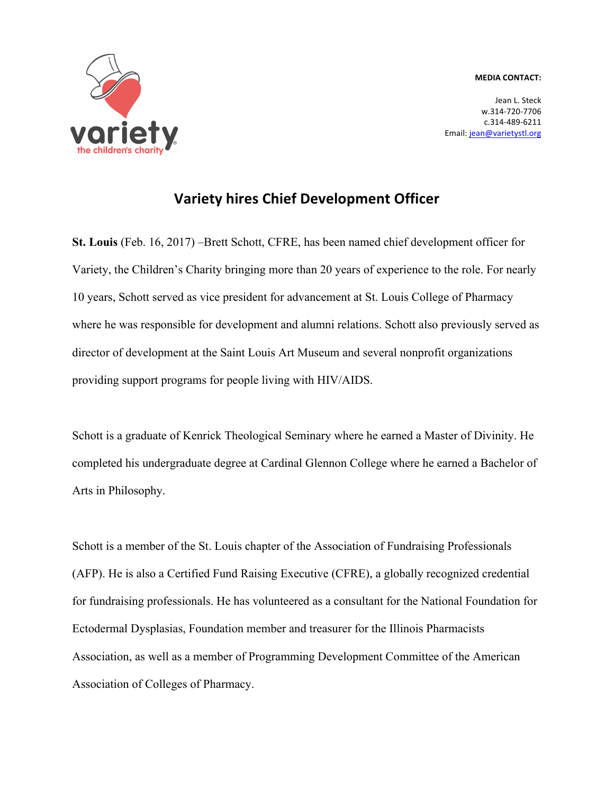## **MEDIA CONTACT:**



Jean L. Steck w.314-720-7706 c.314-489-6211 Email: jean@varietystl.org

## **Variety hires Chief Development Officer**

**St. Louis** (Feb. 16, 2017) –Brett Schott, CFRE, has been named chief development officer for Variety, the Children's Charity bringing more than 20 years of experience to the role. For nearly 10 years, Schott served as vice president for advancement at St. Louis College of Pharmacy where he was responsible for development and alumni relations. Schott also previously served as director of development at the Saint Louis Art Museum and several nonprofit organizations providing support programs for people living with HIV/AIDS.

Schott is a graduate of Kenrick Theological Seminary where he earned a Master of Divinity. He completed his undergraduate degree at Cardinal Glennon College where he earned a Bachelor of Arts in Philosophy.

Schott is a member of the St. Louis chapter of the Association of Fundraising Professionals (AFP). He is also a Certified Fund Raising Executive (CFRE), a globally recognized credential for fundraising professionals. He has volunteered as a consultant for the National Foundation for Ectodermal Dysplasias, Foundation member and treasurer for the Illinois Pharmacists Association, as well as a member of Programming Development Committee of the American Association of Colleges of Pharmacy.